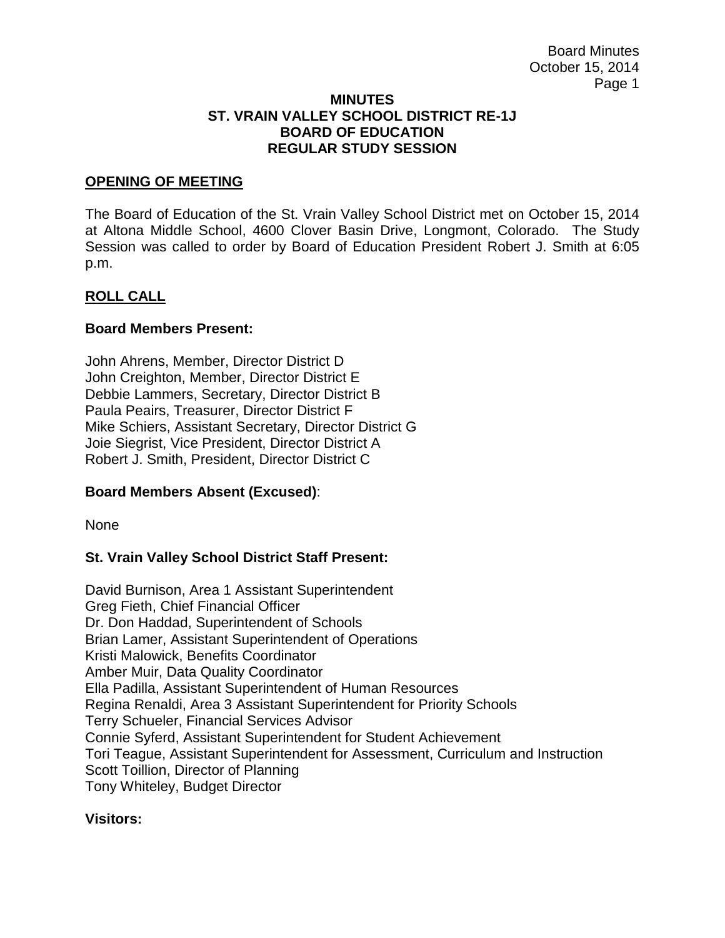#### **MINUTES ST. VRAIN VALLEY SCHOOL DISTRICT RE-1J BOARD OF EDUCATION REGULAR STUDY SESSION**

# **OPENING OF MEETING**

The Board of Education of the St. Vrain Valley School District met on October 15, 2014 at Altona Middle School, 4600 Clover Basin Drive, Longmont, Colorado. The Study Session was called to order by Board of Education President Robert J. Smith at 6:05 p.m.

# **ROLL CALL**

#### **Board Members Present:**

John Ahrens, Member, Director District D John Creighton, Member, Director District E Debbie Lammers, Secretary, Director District B Paula Peairs, Treasurer, Director District F Mike Schiers, Assistant Secretary, Director District G Joie Siegrist, Vice President, Director District A Robert J. Smith, President, Director District C

# **Board Members Absent (Excused)**:

None

# **St. Vrain Valley School District Staff Present:**

David Burnison, Area 1 Assistant Superintendent Greg Fieth, Chief Financial Officer Dr. Don Haddad, Superintendent of Schools Brian Lamer, Assistant Superintendent of Operations Kristi Malowick, Benefits Coordinator Amber Muir, Data Quality Coordinator Ella Padilla, Assistant Superintendent of Human Resources Regina Renaldi, Area 3 Assistant Superintendent for Priority Schools Terry Schueler, Financial Services Advisor Connie Syferd, Assistant Superintendent for Student Achievement Tori Teague, Assistant Superintendent for Assessment, Curriculum and Instruction Scott Toillion, Director of Planning Tony Whiteley, Budget Director

# **Visitors:**